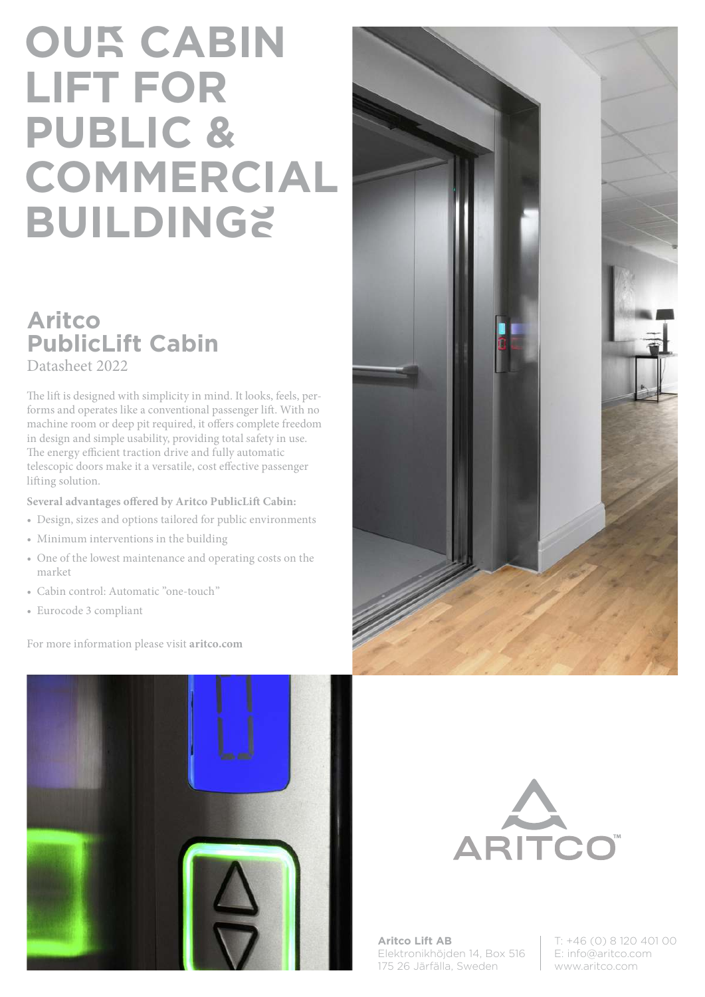## **OUR CABIN LIFT FOR PUBLIC & COMMERCIAL BUILDINGS**

## **Aritco PublicLift Cabin**

Datasheet 2022

The lift is designed with simplicity in mind. It looks, feels, performs and operates like a conventional passenger lift. With no machine room or deep pit required, it offers complete freedom in design and simple usability, providing total safety in use. The energy efficient traction drive and fully automatic telescopic doors make it a versatile, cost effective passenger lifting solution.

**Several advantages offered by Aritco PublicLift Cabin:**

- Design, sizes and options tailored for public environments
- Minimum interventions in the building
- One of the lowest maintenance and operating costs on the market
- Cabin control: Automatic "one-touch"
- Eurocode 3 compliant

For more information please visit **aritco.com**







**Aritco Lift AB** Elektronikhöjden 14, Box 516 175 26 Järfälla, Sweden

T: +46 (0) 8 120 401 00 E: info@aritco.com www.aritco.com